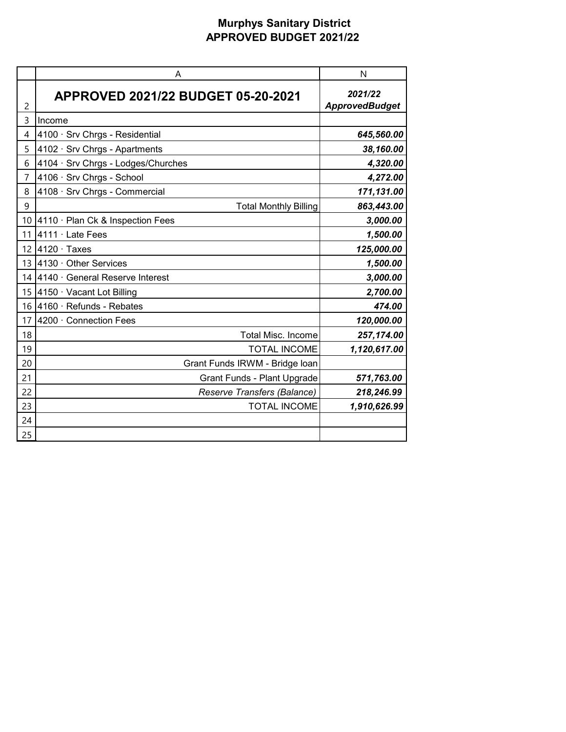|    | A                                  | N                                |
|----|------------------------------------|----------------------------------|
| 2  | APPROVED 2021/22 BUDGET 05-20-2021 | 2021/22<br><b>ApprovedBudget</b> |
| 3  | Income                             |                                  |
| 4  | 4100 · Srv Chrgs - Residential     | 645,560.00                       |
| 5  | 4102 · Srv Chrgs - Apartments      | 38,160.00                        |
| 6  | 4104 · Srv Chrgs - Lodges/Churches | 4,320.00                         |
| 7  | 4106 · Srv Chrgs - School          | 4,272.00                         |
| 8  | 4108 · Srv Chrgs - Commercial      | 171,131.00                       |
| 9  | <b>Total Monthly Billing</b>       | 863,443.00                       |
| 10 | 4110 · Plan Ck & Inspection Fees   | 3,000.00                         |
| 11 | 4111 · Late Fees                   | 1,500.00                         |
| 12 | $4120 \cdot$ Taxes                 | 125,000.00                       |
| 13 | 4130 · Other Services              | 1,500.00                         |
| 14 | 4140 · General Reserve Interest    | 3,000.00                         |
| 15 | 4150 · Vacant Lot Billing          | 2,700.00                         |
| 16 | 4160 · Refunds - Rebates           | 474.00                           |
| 17 | 4200 · Connection Fees             | 120,000.00                       |
| 18 | <b>Total Misc. Income</b>          | 257,174.00                       |
| 19 | <b>TOTAL INCOME</b>                | 1,120,617.00                     |
| 20 | Grant Funds IRWM - Bridge Ioan     |                                  |
| 21 | Grant Funds - Plant Upgrade        | 571,763.00                       |
| 22 | Reserve Transfers (Balance)        | 218,246.99                       |
| 23 | <b>TOTAL INCOME</b>                | 1,910,626.99                     |
| 24 |                                    |                                  |
| 25 |                                    |                                  |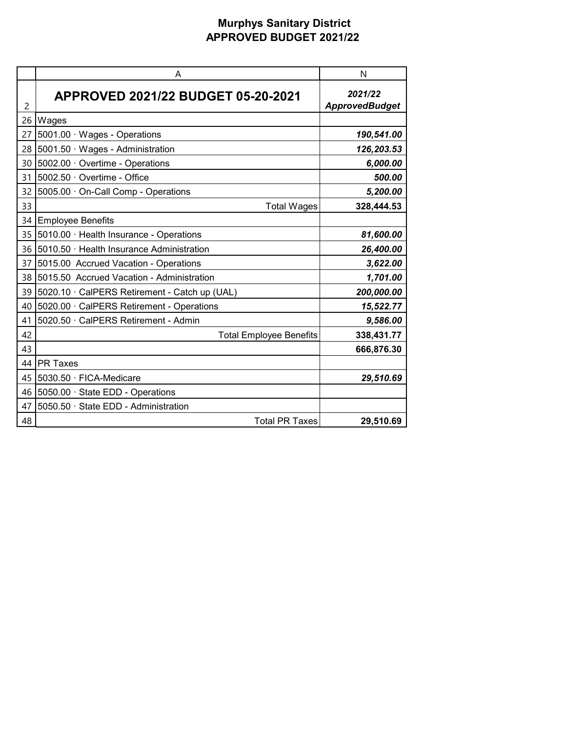|                | A                                             | N                                |
|----------------|-----------------------------------------------|----------------------------------|
| $\overline{2}$ | APPROVED 2021/22 BUDGET 05-20-2021            | 2021/22<br><b>ApprovedBudget</b> |
| 26             | Wages                                         |                                  |
| 27             | 5001.00 · Wages - Operations                  | 190,541.00                       |
| 28             | 5001.50 · Wages - Administration              | 126,203.53                       |
| 30             | 5002.00 Overtime - Operations                 | 6,000.00                         |
| 31             | 5002.50 Overtime - Office                     | 500.00                           |
| 32             | 5005.00 · On-Call Comp - Operations           | 5,200.00                         |
| 33             | <b>Total Wages</b>                            | 328,444.53                       |
| 34             | <b>Employee Benefits</b>                      |                                  |
| 35             | 5010.00 · Health Insurance - Operations       | 81,600.00                        |
| 36             | 5010.50 · Health Insurance Administration     | 26,400.00                        |
| 37             | 5015.00 Accrued Vacation - Operations         | 3,622.00                         |
| 38             | 5015.50 Accrued Vacation - Administration     | 1,701.00                         |
| 39             | 5020.10 · CalPERS Retirement - Catch up (UAL) | 200,000.00                       |
| 40             | 5020.00 · CalPERS Retirement - Operations     | 15,522.77                        |
| 41             | 5020.50 · CalPERS Retirement - Admin          | 9,586.00                         |
| 42             | <b>Total Employee Benefits</b>                | 338,431.77                       |
| 43             |                                               | 666,876.30                       |
| 44             | <b>PR Taxes</b>                               |                                  |
| 45             | 5030.50 · FICA-Medicare                       | 29,510.69                        |
| 46             | 5050.00 · State EDD - Operations              |                                  |
| 47             | 5050.50 · State EDD - Administration          |                                  |
| 48             | <b>Total PR Taxes</b>                         | 29,510.69                        |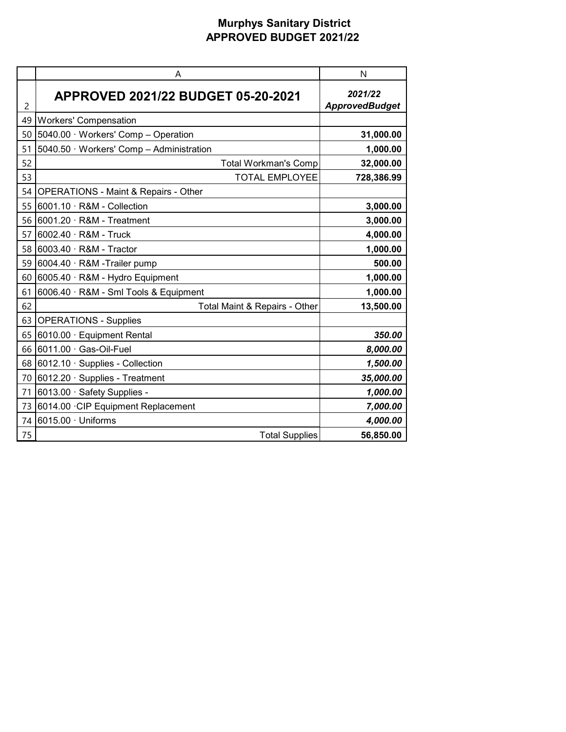|    | A                                               | N                                |
|----|-------------------------------------------------|----------------------------------|
| 2  | APPROVED 2021/22 BUDGET 05-20-2021              | 2021/22<br><b>ApprovedBudget</b> |
| 49 | <b>Workers' Compensation</b>                    |                                  |
| 50 | 5040.00 · Workers' Comp - Operation             | 31,000.00                        |
| 51 | 5040.50 · Workers' Comp - Administration        | 1,000.00                         |
| 52 | <b>Total Workman's Comp</b>                     | 32,000.00                        |
| 53 | <b>TOTAL EMPLOYEE</b>                           | 728,386.99                       |
| 54 | <b>OPERATIONS - Maint &amp; Repairs - Other</b> |                                  |
| 55 | $6001.10 \cdot R$ &M - Collection               | 3,000.00                         |
| 56 | $6001.20 \cdot R$ &M - Treatment                | 3,000.00                         |
| 57 | $6002.40 \cdot R$ &M - Truck                    | 4,000.00                         |
| 58 | 6003.40 · R&M - Tractor                         | 1,000.00                         |
| 59 | 6004.40 · R&M -Trailer pump                     | 500.00                           |
| 60 | 6005.40 · R&M - Hydro Equipment                 | 1,000.00                         |
| 61 | 6006.40 · R&M - Sml Tools & Equipment           | 1,000.00                         |
| 62 | Total Maint & Repairs - Other                   | 13,500.00                        |
| 63 | <b>OPERATIONS - Supplies</b>                    |                                  |
| 65 | 6010.00 · Equipment Rental                      | 350.00                           |
| 66 | 6011.00 · Gas-Oil-Fuel                          | 8,000.00                         |
| 68 | 6012.10 · Supplies - Collection                 | 1,500.00                         |
| 70 | 6012.20 · Supplies - Treatment                  | 35,000.00                        |
| 71 | 6013.00 · Safety Supplies -                     | 1,000.00                         |
| 73 | 6014.00 CIP Equipment Replacement               | 7,000.00                         |
| 74 | 6015.00 · Uniforms                              | 4,000.00                         |
| 75 | <b>Total Supplies</b>                           | 56,850.00                        |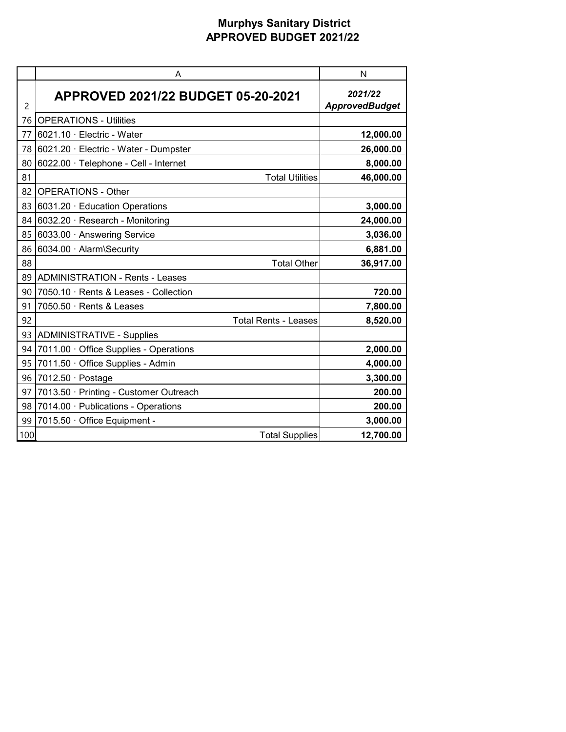|     | A                                      | N                                |
|-----|----------------------------------------|----------------------------------|
| 2   | APPROVED 2021/22 BUDGET 05-20-2021     | 2021/22<br><b>ApprovedBudget</b> |
| 76  | <b>OPERATIONS - Utilities</b>          |                                  |
| 77  | 6021.10 · Electric - Water             | 12,000.00                        |
| 78  | 6021.20 · Electric - Water - Dumpster  | 26,000.00                        |
| 80  | 6022.00 · Telephone - Cell - Internet  | 8,000.00                         |
| 81  | <b>Total Utilities</b>                 | 46,000.00                        |
| 82  | <b>OPERATIONS - Other</b>              |                                  |
| 83  | 6031.20 · Education Operations         | 3,000.00                         |
| 84  | 6032.20 · Research - Monitoring        | 24,000.00                        |
| 85  | 6033.00 · Answering Service            | 3,036.00                         |
| 86  | 6034.00 · Alarm\Security               | 6,881.00                         |
| 88  | <b>Total Other</b>                     | 36,917.00                        |
| 89  | <b>ADMINISTRATION - Rents - Leases</b> |                                  |
| 90  | 7050.10 · Rents & Leases - Collection  | 720.00                           |
| 91  | 7050.50 · Rents & Leases               | 7,800.00                         |
| 92  | <b>Total Rents - Leases</b>            | 8,520.00                         |
| 93  | <b>ADMINISTRATIVE - Supplies</b>       |                                  |
| 94  | 7011.00 Office Supplies - Operations   | 2,000.00                         |
| 95  | 7011.50 · Office Supplies - Admin      | 4,000.00                         |
| 96  | 7012.50 · Postage                      | 3,300.00                         |
| 97  | 7013.50 · Printing - Customer Outreach | 200.00                           |
| 98  | 7014.00 · Publications - Operations    | 200.00                           |
| 99  | 7015.50 · Office Equipment -           | 3,000.00                         |
| 100 | <b>Total Supplies</b>                  | 12,700.00                        |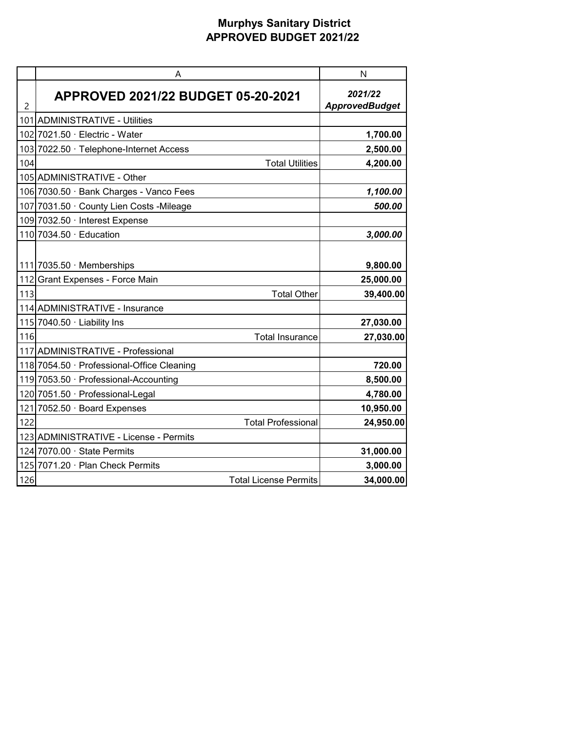|     | A                                          | N                                |
|-----|--------------------------------------------|----------------------------------|
| 2   | APPROVED 2021/22 BUDGET 05-20-2021         | 2021/22<br><b>ApprovedBudget</b> |
|     | 101 ADMINISTRATIVE - Utilities             |                                  |
|     | 102 7021.50 · Electric - Water             | 1,700.00                         |
|     | 103 7022.50 · Telephone-Internet Access    | 2,500.00                         |
| 104 | <b>Total Utilities</b>                     | 4,200.00                         |
|     | 105 ADMINISTRATIVE - Other                 |                                  |
|     | 106 7030.50 · Bank Charges - Vanco Fees    | 1,100.00                         |
|     | 107 7031.50 · County Lien Costs - Mileage  | 500.00                           |
|     | 109 7032.50 $\cdot$ Interest Expense       |                                  |
|     | $110$ 7034.50 $\cdot$ Education            | 3,000.00                         |
|     |                                            |                                  |
|     | $111$  7035.50 Memberships                 | 9,800.00                         |
| 112 | Grant Expenses - Force Main                | 25,000.00                        |
| 113 | <b>Total Other</b>                         | 39,400.00                        |
|     | 114 ADMINISTRATIVE - Insurance             |                                  |
|     | 115 7040.50 · Liability Ins                | 27,030.00                        |
| 116 | <b>Total Insurance</b>                     | 27,030.00                        |
|     | 117 ADMINISTRATIVE - Professional          |                                  |
|     | 118 7054.50 · Professional-Office Cleaning | 720.00                           |
|     | 119 7053.50 · Professional-Accounting      | 8,500.00                         |
|     | 120 7051.50 · Professional-Legal           | 4,780.00                         |
| 121 | 7052.50 · Board Expenses                   | 10,950.00                        |
| 122 | <b>Total Professional</b>                  | 24,950.00                        |
|     | 123 ADMINISTRATIVE - License - Permits     |                                  |
|     | 124 7070.00 · State Permits                | 31,000.00                        |
|     | 125 7071.20 · Plan Check Permits           | 3,000.00                         |
| 126 | <b>Total License Permits</b>               | 34,000.00                        |